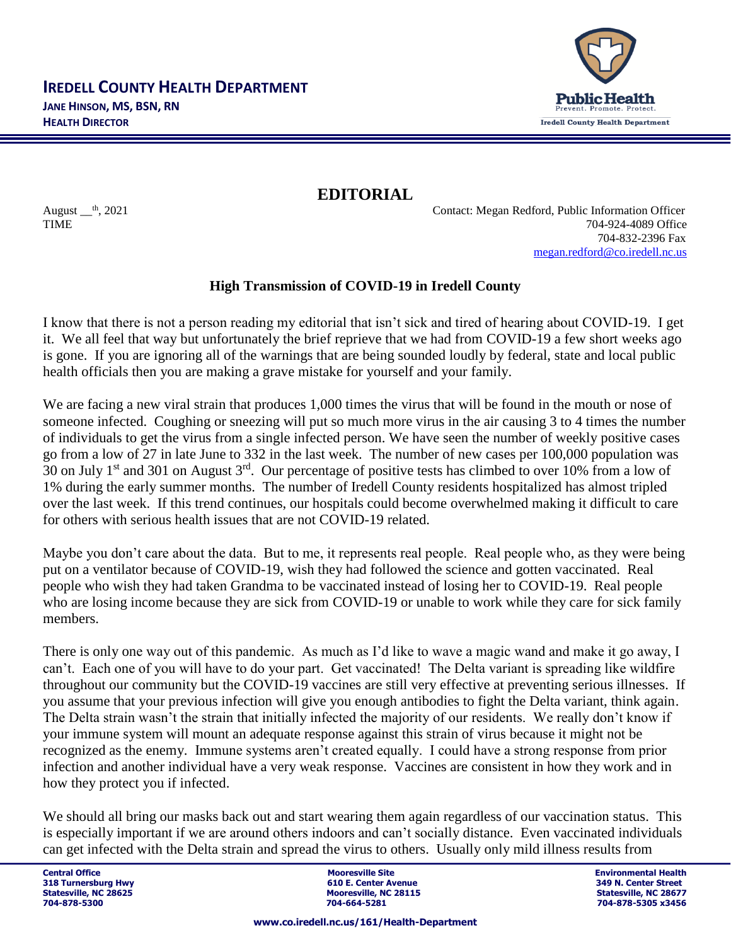

**EDITORIAL**

August  $<sup>th</sup>$ , 2021 Contact: Megan Redford, Public Information Officer</sup> TIME 704-924-4089 Office 704-832-2396 Fax [megan.redford@co.iredell.nc.us](mailto:megan.redford@co.iredell.nc.us)

## **High Transmission of COVID-19 in Iredell County**

I know that there is not a person reading my editorial that isn't sick and tired of hearing about COVID-19. I get it. We all feel that way but unfortunately the brief reprieve that we had from COVID-19 a few short weeks ago is gone. If you are ignoring all of the warnings that are being sounded loudly by federal, state and local public health officials then you are making a grave mistake for yourself and your family.

We are facing a new viral strain that produces 1,000 times the virus that will be found in the mouth or nose of someone infected. Coughing or sneezing will put so much more virus in the air causing 3 to 4 times the number of individuals to get the virus from a single infected person. We have seen the number of weekly positive cases go from a low of 27 in late June to 332 in the last week. The number of new cases per 100,000 population was 30 on July 1<sup>st</sup> and 301 on August  $3<sup>rd</sup>$ . Our percentage of positive tests has climbed to over 10% from a low of 1% during the early summer months. The number of Iredell County residents hospitalized has almost tripled over the last week. If this trend continues, our hospitals could become overwhelmed making it difficult to care for others with serious health issues that are not COVID-19 related.

Maybe you don't care about the data. But to me, it represents real people. Real people who, as they were being put on a ventilator because of COVID-19, wish they had followed the science and gotten vaccinated. Real people who wish they had taken Grandma to be vaccinated instead of losing her to COVID-19. Real people who are losing income because they are sick from COVID-19 or unable to work while they care for sick family members.

There is only one way out of this pandemic. As much as I'd like to wave a magic wand and make it go away, I can't. Each one of you will have to do your part. Get vaccinated! The Delta variant is spreading like wildfire throughout our community but the COVID-19 vaccines are still very effective at preventing serious illnesses. If you assume that your previous infection will give you enough antibodies to fight the Delta variant, think again. The Delta strain wasn't the strain that initially infected the majority of our residents. We really don't know if your immune system will mount an adequate response against this strain of virus because it might not be recognized as the enemy. Immune systems aren't created equally. I could have a strong response from prior infection and another individual have a very weak response. Vaccines are consistent in how they work and in how they protect you if infected.

We should all bring our masks back out and start wearing them again regardless of our vaccination status. This is especially important if we are around others indoors and can't socially distance. Even vaccinated individuals can get infected with the Delta strain and spread the virus to others. Usually only mild illness results from

**Central Office Mooresville Site Environmental Health 318 Turnersburg Hwy 610 E. Center Avenue 349 N. Center Street** Statesville, NC 28625 **Mooresville, NC 28115** Statesville, NC 28627<br>
2014-664-5281<br>
2014-664-5281 Statesville, NC 28677<br>
2014-828-5305 x3456